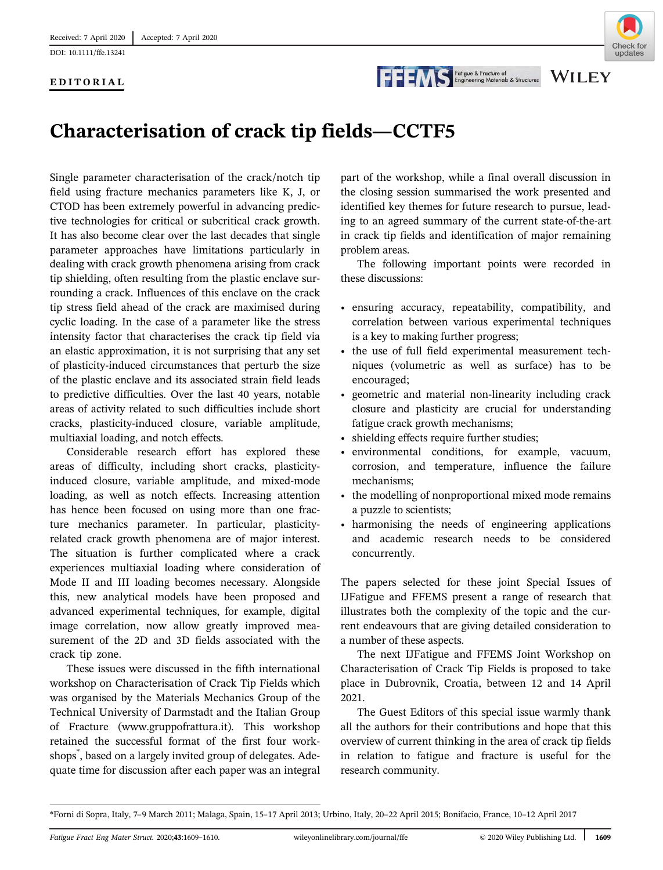[DOI: 10.1111/ffe.13241](https://doi.org/10.1111/ffe.13241)

## EDITORIAL



**WILEY** 

## EDITORIAL FORDITORIAL FOR EXAMPLE DITORIAL FOR EXAMPLE CONTROLLED EXAMPLE CONTROLLED SA Structures

Single parameter characterisation of the crack/notch tip field using fracture mechanics parameters like K, J, or CTOD has been extremely powerful in advancing predictive technologies for critical or subcritical crack growth. It has also become clear over the last decades that single parameter approaches have limitations particularly in dealing with crack growth phenomena arising from crack tip shielding, often resulting from the plastic enclave surrounding a crack. Influences of this enclave on the crack tip stress field ahead of the crack are maximised during cyclic loading. In the case of a parameter like the stress intensity factor that characterises the crack tip field via an elastic approximation, it is not surprising that any set of plasticity-induced circumstances that perturb the size of the plastic enclave and its associated strain field leads to predictive difficulties. Over the last 40 years, notable areas of activity related to such difficulties include short cracks, plasticity-induced closure, variable amplitude, multiaxial loading, and notch effects.

Considerable research effort has explored these areas of difficulty, including short cracks, plasticityinduced closure, variable amplitude, and mixed-mode loading, as well as notch effects. Increasing attention has hence been focused on using more than one fracture mechanics parameter. In particular, plasticityrelated crack growth phenomena are of major interest. The situation is further complicated where a crack experiences multiaxial loading where consideration of Mode II and III loading becomes necessary. Alongside this, new analytical models have been proposed and advanced experimental techniques, for example, digital image correlation, now allow greatly improved measurement of the 2D and 3D fields associated with the crack tip zone.

These issues were discussed in the fifth international workshop on Characterisation of Crack Tip Fields which was organised by the Materials Mechanics Group of the Technical University of Darmstadt and the Italian Group of Fracture ([www.gruppofrattura.it](http://www.gruppofrattura.it)). This workshop retained the successful format of the first four workshops\* , based on a largely invited group of delegates. Adequate time for discussion after each paper was an integral

part of the workshop, while a final overall discussion in the closing session summarised the work presented and identified key themes for future research to pursue, leading to an agreed summary of the current state-of-the-art in crack tip fields and identification of major remaining problem areas.

The following important points were recorded in these discussions:

- ensuring accuracy, repeatability, compatibility, and correlation between various experimental techniques is a key to making further progress;
- the use of full field experimental measurement techniques (volumetric as well as surface) has to be encouraged;
- geometric and material non-linearity including crack closure and plasticity are crucial for understanding fatigue crack growth mechanisms;
- shielding effects require further studies;
- sincluing checks require further statutes,<br>• environmental conditions, for example, vacuum, corrosion, and temperature, influence the failure mechanisms;
- the modelling of nonproportional mixed mode remains a puzzle to scientists;
- harmonising the needs of engineering applications and academic research needs to be considered concurrently.

The papers selected for these joint Special Issues of IJFatigue and FFEMS present a range of research that illustrates both the complexity of the topic and the current endeavours that are giving detailed consideration to a number of these aspects.

The next IJFatigue and FFEMS Joint Workshop on Characterisation of Crack Tip Fields is proposed to take place in Dubrovnik, Croatia, between 12 and 14 April 2021.

The Guest Editors of this special issue warmly thank all the authors for their contributions and hope that this overview of current thinking in the area of crack tip fields in relation to fatigue and fracture is useful for the research community.

<sup>\*</sup>Forni di Sopra, Italy, 7–9 March 2011; Malaga, Spain, 15–17 April 2013; Urbino, Italy, 20–22 April 2015; Bonifacio, France, 10–12 April 2017